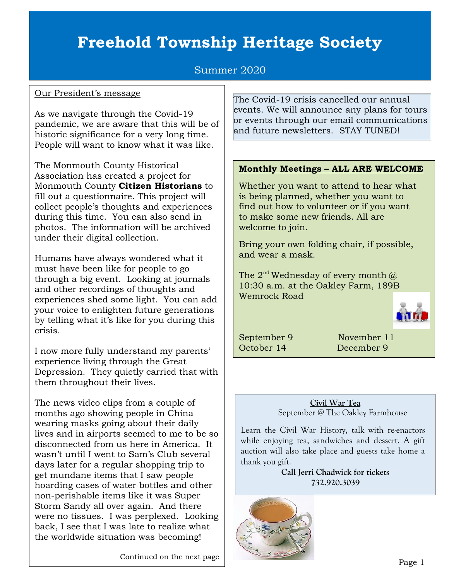# **Freehold Township Heritage Society**

# Summer 2020

## Our President's message

As we navigate through the Covid-19 pandemic, we are aware that this will be of historic significance for a very long time. People will want to know what it was like.

The Monmouth County Historical Association has created a project for Monmouth County **Citizen Historians** to fill out a questionnaire. This project will collect people's thoughts and experiences during this time. You can also send in photos. The information will be archived under their digital collection.

Humans have always wondered what it must have been like for people to go through a big event. Looking at journals and other recordings of thoughts and experiences shed some light. You can add your voice to enlighten future generations by telling what it's like for you during this crisis.

I now more fully understand my parents' experience living through the Great Depression. They quietly carried that with them throughout their lives.

The news video clips from a couple of months ago showing people in China wearing masks going about their daily lives and in airports seemed to me to be so disconnected from us here in America. It wasn't until I went to Sam's Club several days later for a regular shopping trip to get mundane items that I saw people hoarding cases of water bottles and other non-perishable items like it was Super Storm Sandy all over again. And there were no tissues. I was perplexed. Looking back, I see that I was late to realize what the worldwide situation was becoming!

Continued on the next page

The Covid-19 crisis cancelled our annual events. We will announce any plans for tours or events through our email communications and future newsletters. STAY TUNED!

### **Monthly Meetings – ALL ARE WELCOME**

Whether you want to attend to hear what is being planned, whether you want to find out how to volunteer or if you want to make some new friends. All are welcome to join.

Bring your own folding chair, if possible, and wear a mask.

The  $2^{nd}$  Wednesday of every month  $\omega$ 10:30 a.m. at the Oakley Farm, 189B Wemrock Road

September 9 November 11 October 14 December 9

**Civil War Tea** September @ The Oakley Farmhouse

Learn the Civil War History, talk with re-enactors while enjoying tea, sandwiches and dessert. A gift auction will also take place and guests take home a thank you gift.

> **Call Jerri Chadwick for tickets 732.920.3039**

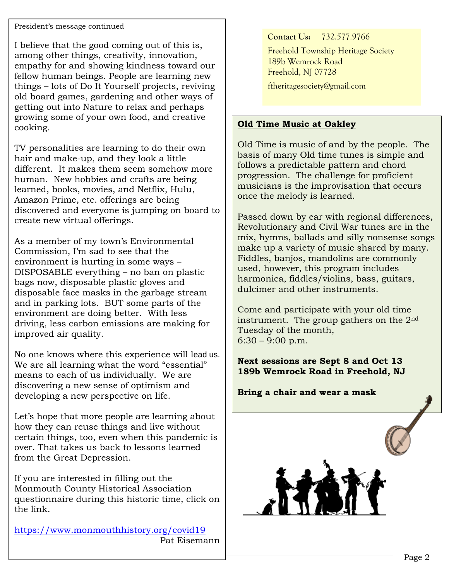# President's message continued

I believe that the good coming out of this is, among other things, creativity, innovation, empathy for and showing kindness toward our fellow human beings. People are learning new things – lots of Do It Yourself projects, reviving old board games, gardening and other ways of getting out into Nature to relax and perhaps growing some of your own food, and creative cooking.

TV personalities are learning to do their own hair and make-up, and they look a little different. It makes them seem somehow more human. New hobbies and crafts are being learned, books, movies, and Netflix, Hulu, Amazon Prime, etc. offerings are being discovered and everyone is jumping on board to create new virtual offerings.

As a member of my town's Environmental Commission, I'm sad to see that the environment is hurting in some ways – DISPOSABLE everything – no ban on plastic bags now, disposable plastic gloves and disposable face masks in the garbage stream and in parking lots. BUT some parts of the environment are doing better. With less driving, less carbon emissions are making for improved air quality.

No one knows where this experience will lead us. We are all learning what the word "essential" means to each of us individually. We are discovering a new sense of optimism and developing a new perspective on life.

Let's hope that more people are learning about how they can reuse things and live without certain things, too, even when this pandemic is over. That takes us back to lessons learned from the Great Depression.

If you are interested in filling out the Monmouth County Historical Association questionnaire during this historic time, click on the link.

<https://www.monmouthhistory.org/covid19> Pat Eisemann **Contact Us:** 732.577.9766

Freehold Township Heritage Society 189b Wemrock Road Freehold, NJ 07728

[ftheritagesociety@gmail.com](mailto:ftheritagesociety@gmail.com)

# **Old Time Music at Oakley**

Old Time is music of and by the people. The basis of many Old time tunes is simple and follows a predictable pattern and chord progression. The challenge for proficient musicians is the improvisation that occurs once the melody is learned.

Passed down by ear with regional differences, Revolutionary and Civil War tunes are in the mix, hymns, ballads and silly nonsense songs make up a variety of music shared by many. Fiddles, banjos, mandolins are commonly used, however, this program includes harmonica, fiddles/violins, bass, guitars, dulcimer and other instruments.

Come and participate with your old time instrument. The group gathers on the  $2<sup>nd</sup>$ Tuesday of the month,  $6:30 - 9:00$  p.m.

**Next sessions are Sept 8 and Oct 13 189b Wemrock Road in Freehold, NJ** 

**Bring a chair and wear a mask**

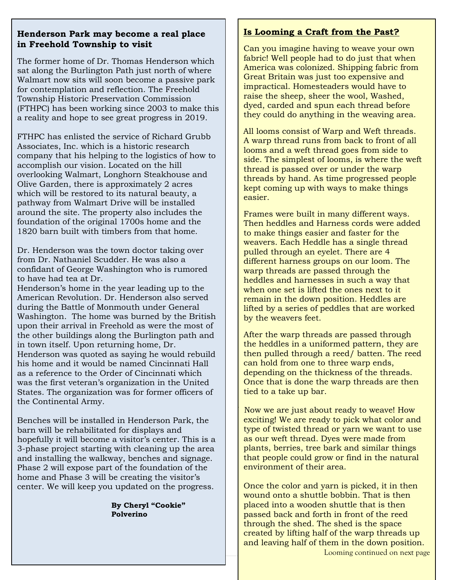## **Henderson Park may become a real place in Freehold Township to visit**

The former home of Dr. Thomas Henderson which sat along the Burlington Path just north of where Walmart now sits will soon become a passive park for contemplation and reflection. The Freehold Township Historic Preservation Commission (FTHPC) has been working since 2003 to make this a reality and hope to see great progress in 2019.

FTHPC has enlisted the service of Richard Grubb Associates, Inc. which is a historic research company that his helping to the logistics of how to accomplish our vision. Located on the hill overlooking Walmart, Longhorn Steakhouse and Olive Garden, there is approximately 2 acres which will be restored to its natural beauty, a pathway from Walmart Drive will be installed around the site. The property also includes the foundation of the original 1700s home and the 1820 barn built with timbers from that home.

Dr. Henderson was the town doctor taking over from Dr. Nathaniel Scudder. He was also a confidant of George Washington who is rumored to have had tea at Dr.

Henderson's home in the year leading up to the American Revolution. Dr. Henderson also served during the Battle of Monmouth under General Washington. The home was burned by the British upon their arrival in Freehold as were the most of the other buildings along the Burlington path and in town itself. Upon returning home, Dr. Henderson was quoted as saying he would rebuild his home and it would be named Cincinnati Hall as a reference to the Order of Cincinnati which was the first veteran's organization in the United States. The organization was for former officers of the Continental Army.

Benches will be installed in Henderson Park, the barn will be rehabilitated for displays and hopefully it will become a visitor's center. This is a 3-phase project starting with cleaning up the area and installing the walkway, benches and signage. Phase 2 will expose part of the foundation of the home and Phase 3 will be creating the visitor's center. We will keep you updated on the progress.

#### **By Cheryl "Cookie" Polverino**

# **Is Looming a Craft from the Past?**

Can you imagine having to weave your own fabric! Well people had to do just that when America was colonized. Shipping fabric from Great Britain was just too expensive and impractical. Homesteaders would have to raise the sheep, sheer the wool, Washed, dyed, carded and spun each thread before they could do anything in the weaving area.

 All looms consist of Warp and Weft threads. A warp thread runs from back to front of all looms and a weft thread goes from side to side. The simplest of looms, is where the weft thread is passed over or under the warp threads by hand. As time progressed people kept coming up with ways to make things easier.

Frames were built in many different ways. Then heddles and Harness cords were added to make things easier and faster for the weavers. Each Heddle has a single thread pulled through an eyelet. There are 4 different harness groups on our loom. The warp threads are passed through the heddles and harnesses in such a way that when one set is lifted the ones next to it remain in the down position. Heddles are lifted by a series of peddles that are worked by the weavers feet.

After the warp threads are passed through the heddles in a uniformed pattern, they are then pulled through a reed/ batten. The reed can hold from one to three warp ends, depending on the thickness of the threads. Once that is done the warp threads are then tied to a take up bar.

Now we are just about ready to weave! How exciting! We are ready to pick what color and type of twisted thread or yarn we want to use as our weft thread. Dyes were made from plants, berries, tree bark and similar things that people could grow or find in the natural environment of their area.

Once the color and yarn is picked, it in then wound onto a shuttle bobbin. That is then placed into a wooden shuttle that is then passed back and forth in front of the reed through the shed. The shed is the space created by lifting half of the warp threads up and leaving half of them in the down position. Looming continued on next page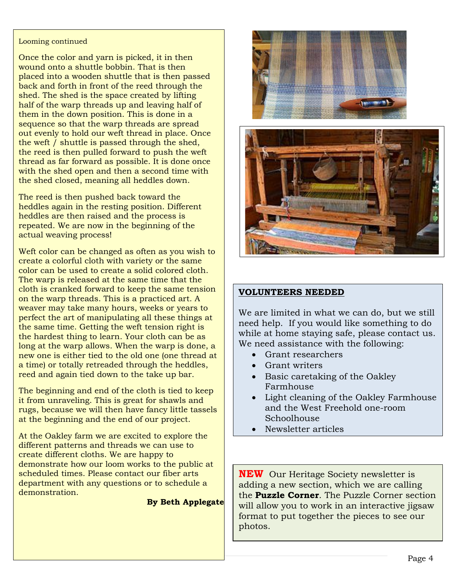#### Looming continued

Once the color and yarn is picked, it in then wound onto a shuttle bobbin. That is then placed into a wooden shuttle that is then passed back and forth in front of the reed through the shed. The shed is the space created by lifting half of the warp threads up and leaving half of them in the down position. This is done in a sequence so that the warp threads are spread out evenly to hold our weft thread in place. Once the weft / shuttle is passed through the shed, the reed is then pulled forward to push the weft thread as far forward as possible. It is done once with the shed open and then a second time with the shed closed, meaning all heddles down.

The reed is then pushed back toward the heddles again in the resting position. Different heddles are then raised and the process is repeated. We are now in the beginning of the actual weaving process!

Weft color can be changed as often as you wish to create a colorful cloth with variety or the same color can be used to create a solid colored cloth. The warp is released at the same time that the cloth is cranked forward to keep the same tension on the warp threads. This is a practiced art. A weaver may take many hours, weeks or years to perfect the art of manipulating all these things at the same time. Getting the weft tension right is the hardest thing to learn. Your cloth can be as long at the warp allows. When the warp is done, a new one is either tied to the old one (one thread at a time) or totally retreaded through the heddles, reed and again tied down to the take up bar.

The beginning and end of the cloth is tied to keep it from unraveling. This is great for shawls and rugs, because we will then have fancy little tassels at the beginning and the end of our project.

At the Oakley farm we are excited to explore the different patterns and threads we can use to create different cloths. We are happy to demonstrate how our loom works to the public at scheduled times. Please contact our fiber arts department with any questions or to schedule a demonstration.

#### **By Beth Applegate**





# **VOLUNTEERS NEEDED**

We are limited in what we can do, but we still need help. If you would like something to do while at home staying safe, please contact us. We need assistance with the following:

- Grant researchers
- Grant writers
- Basic caretaking of the Oakley Farmhouse
- Light cleaning of the Oakley Farmhouse and the West Freehold one-room Schoolhouse
- Newsletter articles

**NEW** Our Heritage Society newsletter is adding a new section, which we are calling the **Puzzle Corner**. The Puzzle Corner section will allow you to work in an interactive jigsaw format to put together the pieces to see our photos.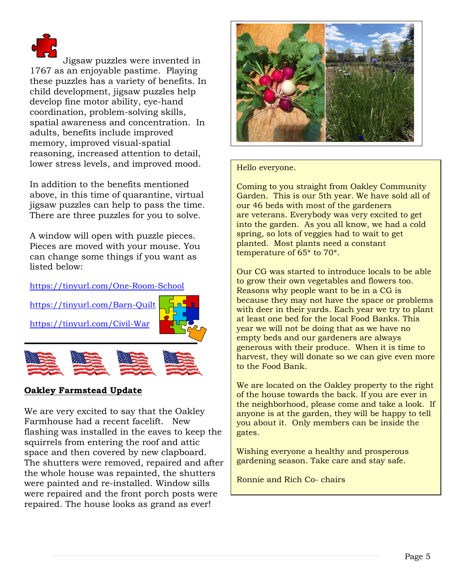

Jigsaw puzzles were invented in 1767 as an enjoyable pastime. Playing these puzzles has a variety of benefits. In child development, jigsaw puzzles help develop fine motor ability, eye-hand coordination, problem-solving skills, spatial awareness and concentration. In adults, benefits include improved memory, improved visual-spatial reasoning, increased attention to detail, lower stress levels, and improved mood.

In addition to the benefits mentioned above, in this time of quarantine, virtual jigsaw puzzles can help to pass the time. There are three puzzles for you to solve.

A window will open with puzzle pieces. Pieces are moved with your mouse. You can change some things if you want as listed below:

### <https://tinyurl.com/One-Room-School>



# **Oakley Farmstead Update**

We are very excited to say that the Oakley Farmhouse had a recent facelift. New flashing was installed in the eaves to keep the squirrels from entering the roof and attic space and then covered by new clapboard. The shutters were removed, repaired and after the whole house was repainted, the shutters were painted and re-installed. Window sills were repaired and the front porch posts were repaired. The house looks as grand as ever!



#### Hello everyone.

Coming to you straight from Oakley Community Garden. This is our 5th year. We have sold all of our 46 beds with most of the gardeners are veterans. Everybody was very excited to get into the garden. As you all know, we had a cold spring, so lots of veggies had to wait to get planted. Most plants need a constant temperature of 65\* to 70\*.

Our CG was started to introduce locals to be able to grow their own vegetables and flowers too. Reasons why people want to be in a CG is because they may not have the space or problems with deer in their yards. Each year we try to plant at least one bed for the local Food Banks. This year we will not be doing that as we have no empty beds and our gardeners are always generous with their produce. When it is time to harvest, they will donate so we can give even more to the Food Bank.

We are located on the Oakley property to the right of the house towards the back. If you are ever in the neighborhood, please come and take a look. If anyone is at the garden, they will be happy to tell you about it. Only members can be inside the gates.

Wishing everyone a healthy and prosperous gardening season. Take care and stay safe.

Ronnie and Rich Co- chairs